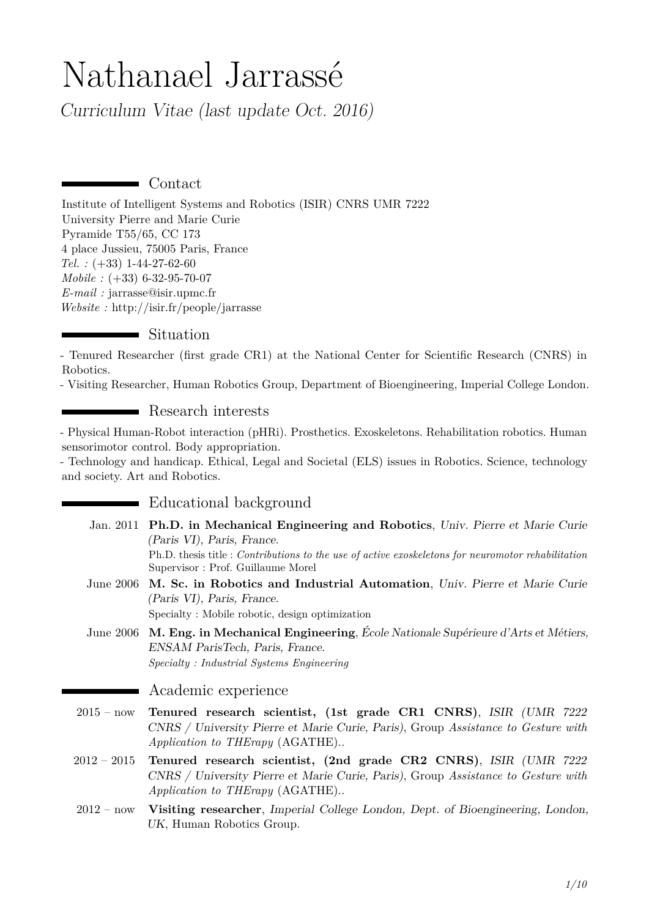# Nathanael Jarrassé

Curriculum Vitae (last update Oct. 2016)

Contact

[Institute of Intelligent Systems and Robotics \(ISIR\) CNRS UMR 7222](http://www.isir.upmc.fr/) [University Pierre and Marie Curie](http://www.isir.upmc.fr/) Pyramide T55/65, CC 173 4 place Jussieu, 75005 Paris, France *Tel. :* (+33) 1-44-27-62-60 *Mobile :* (+33) 6-32-95-70-07 *E-mail :* [jarrasse@isir.upmc.fr](mailto:jarrasse@isir.upmc.fr) *Website :* <http://isir.fr/people/jarrasse>

## Situation

- Tenured Researcher (first grade CR1) at the National Center for Scientific Research (CNRS) in Robotics.

- Visiting Researcher, Human Robotics Group, Department of Bioengineering, Imperial College London.

## ■ Research interests

- Physical Human-Robot interaction (pHRi). Prosthetics. Exoskeletons. Rehabilitation robotics. Human sensorimotor control. Body appropriation.

- Technology and handicap. Ethical, Legal and Societal (ELS) issues in Robotics. Science, technology and society. Art and Robotics.

### **Educational background**

- Jan. 2011 **Ph.D. in Mechanical Engineering and Robotics**, Univ. Pierre et Marie Curie (Paris VI), Paris, France. Ph.D. thesis title : *Contributions to the use of active exoskeletons for neuromotor rehabilitation* Supervisor : Prof. Guillaume Morel
- June 2006 **M. Sc. in Robotics and Industrial Automation**, Univ. Pierre et Marie Curie (Paris VI), Paris, France. Specialty : Mobile robotic, design optimization

June 2006 **M. Eng. in Mechanical Engineering**, École Nationale Supérieure d'Arts et Métiers, ENSAM ParisTech, Paris, France. *Specialty : Industrial Systems Engineering*

#### Academic experience

- 2015 now **Tenured research scientist, (1st grade CR1 CNRS)**, ISIR (UMR 7222 CNRS / University Pierre et Marie Curie, Paris), Group *Assistance to Gesture with Application to THErapy* (AGATHE)..
- 2012 2015 **Tenured research scientist, (2nd grade CR2 CNRS)**, ISIR (UMR 7222 CNRS / University Pierre et Marie Curie, Paris), Group *Assistance to Gesture with Application to THErapy* (AGATHE)..
- 2012 now **Visiting researcher**, Imperial College London, Dept. of Bioengineering, London, UK, [Human Robotics Group.](http://www.imperial.ac.uk/human-robotics)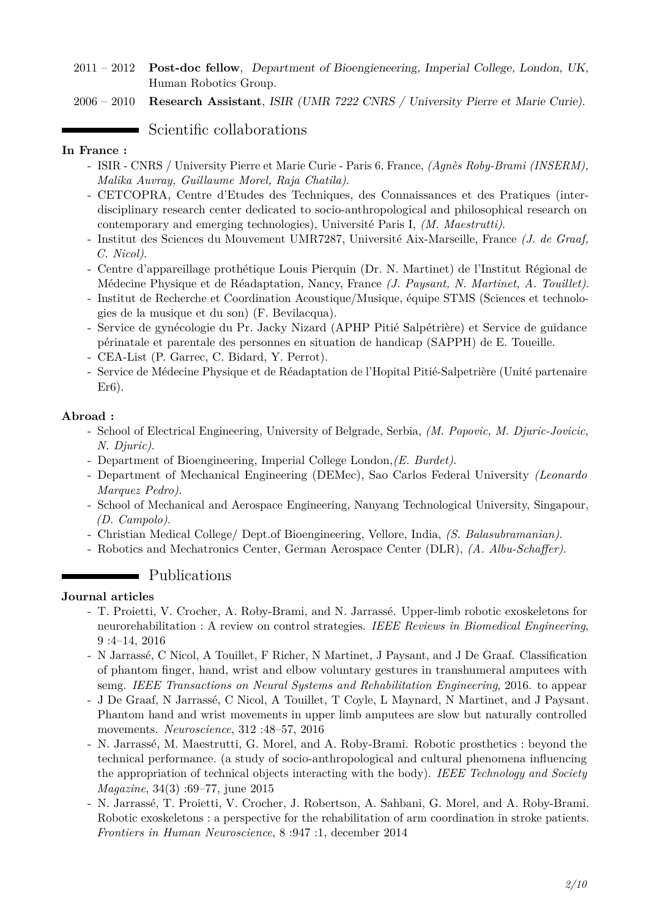- 2011 2012 **Post-doc fellow**, Department of Bioengieneering, Imperial College, London, UK, [Human Robotics Group.](http://www.imperial.ac.uk/human-robotics)
- 2006 2010 **Research Assistant**, ISIR (UMR 7222 CNRS / University Pierre et Marie Curie).

## Scientific collaborations

#### **In France :**

- ISIR CNRS / University Pierre et Marie Curie Paris 6, France, *(Agnès Roby-Brami (INSERM), Malika Auvray, Guillaume Morel, Raja Chatila)*.
- CETCOPRA, Centre d'Etudes des Techniques, des Connaissances et des Pratiques (interdisciplinary research center dedicated to socio-anthropological and philosophical research on contemporary and emerging technologies), Université Paris I, *(M. Maestrutti)*.
- Institut des Sciences du Mouvement UMR7287, Université Aix-Marseille, France *(J. de Graaf, C. Nicol)*.
- Centre d'appareillage prothétique Louis Pierquin (Dr. N. Martinet) de l'Institut Régional de Médecine Physique et de Réadaptation, Nancy, France *(J. Paysant, N. Martinet, A. Touillet)*.
- Institut de Recherche et Coordination Acoustique/Musique, équipe STMS (Sciences et technologies de la musique et du son) (F. Bevilacqua).
- Service de gynécologie du Pr. Jacky Nizard (APHP Pitié Salpétrière) et Service de guidance périnatale et parentale des personnes en situation de handicap (SAPPH) de E. Toueille.
- CEA-List (P. Garrec, C. Bidard, Y. Perrot).
- Service de Médecine Physique et de Réadaptation de l'Hopital Pitié-Salpetrière (Unité partenaire Er6).

#### **Abroad :**

- School of Electrical Engineering, University of Belgrade, Serbia, *(M. Popovic, M. Djuric-Jovicic, N. Djuric)*.
- Department of Bioengineering, Imperial College London,*(E. Burdet)*.
- Department of Mechanical Engineering (DEMec), Sao Carlos Federal University *(Leonardo Marquez Pedro)*.
- School of Mechanical and Aerospace Engineering, Nanyang Technological University, Singapour, *(D. Campolo)*.
- Christian Medical College/ Dept.of Bioengineering, Vellore, India, *(S. Balasubramanian)*.
- Robotics and Mechatronics Center, German Aerospace Center (DLR), *(A. Albu-Schaffer)*.

### **Publications**

#### **Journal articles**

- T. Proietti, V. Crocher, A. Roby-Brami, and N. Jarrassé. Upper-limb robotic exoskeletons for neurorehabilitation : A review on control strategies. *IEEE Reviews in Biomedical Engineering*, 9 :4–14, 2016
- N Jarrassé, C Nicol, A Touillet, F Richer, N Martinet, J Paysant, and J De Graaf. Classification of phantom finger, hand, wrist and elbow voluntary gestures in transhumeral amputees with semg. *IEEE Transactions on Neural Systems and Rehabilitation Engineering*, 2016. to appear
- J De Graaf, N Jarrassé, C Nicol, A Touillet, T Coyle, L Maynard, N Martinet, and J Paysant. Phantom hand and wrist movements in upper limb amputees are slow but naturally controlled movements. *Neuroscience*, 312 :48–57, 2016
- N. Jarrassé, M. Maestrutti, G. Morel, and A. Roby-Brami. Robotic prosthetics : beyond the technical performance. (a study of socio-anthropological and cultural phenomena influencing the appropriation of technical objects interacting with the body). *IEEE Technology and Society Magazine*, 34(3) :69–77, june 2015
- N. Jarrassé, T. Proietti, V. Crocher, J. Robertson, A. Sahbani, G. Morel, and A. Roby-Brami. Robotic exoskeletons : a perspective for the rehabilitation of arm coordination in stroke patients. *Frontiers in Human Neuroscience*, 8 :947 :1, december 2014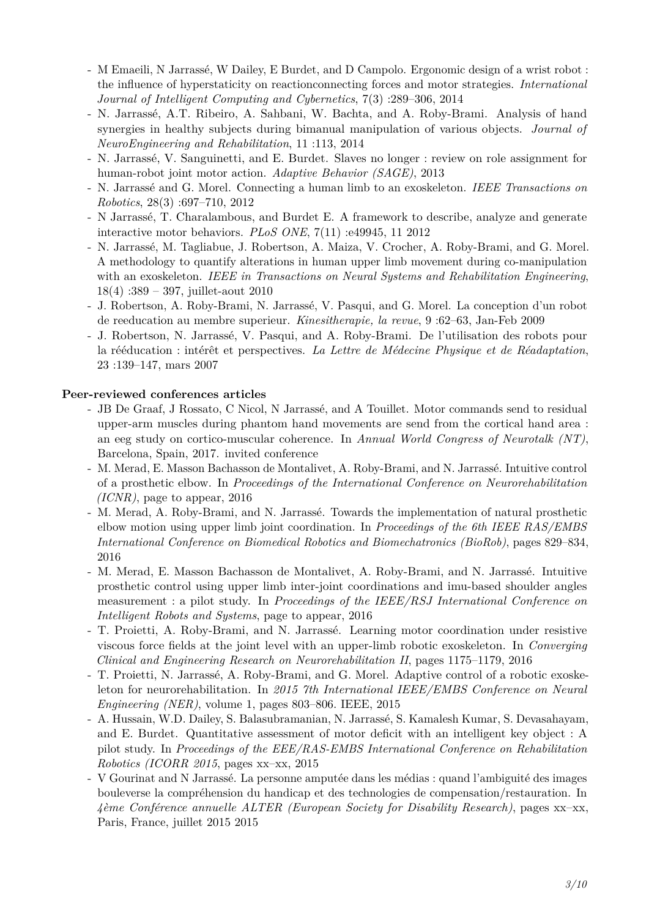- M Emaeili, N Jarrassé, W Dailey, E Burdet, and D Campolo. Ergonomic design of a wrist robot : the influence of hyperstaticity on reactionconnecting forces and motor strategies. *International Journal of Intelligent Computing and Cybernetics*, 7(3) :289–306, 2014
- N. Jarrassé, A.T. Ribeiro, A. Sahbani, W. Bachta, and A. Roby-Brami. Analysis of hand synergies in healthy subjects during bimanual manipulation of various objects. *Journal of NeuroEngineering and Rehabilitation*, 11 :113, 2014
- N. Jarrassé, V. Sanguinetti, and E. Burdet. Slaves no longer : review on role assignment for human-robot joint motor action. *Adaptive Behavior (SAGE)*, 2013
- N. Jarrassé and G. Morel. Connecting a human limb to an exoskeleton. *IEEE Transactions on Robotics*, 28(3) :697–710, 2012
- N Jarrassé, T. Charalambous, and Burdet E. A framework to describe, analyze and generate interactive motor behaviors. *PLoS ONE*, 7(11) :e49945, 11 2012
- N. Jarrassé, M. Tagliabue, J. Robertson, A. Maiza, V. Crocher, A. Roby-Brami, and G. Morel. A methodology to quantify alterations in human upper limb movement during co-manipulation with an exoskeleton. *IEEE in Transactions on Neural Systems and Rehabilitation Engineering*, 18(4) :389 – 397, juillet-aout 2010
- J. Robertson, A. Roby-Brami, N. Jarrassé, V. Pasqui, and G. Morel. La conception d'un robot de reeducation au membre superieur. *Kinesitherapie, la revue*, 9 :62–63, Jan-Feb 2009
- J. Robertson, N. Jarrassé, V. Pasqui, and A. Roby-Brami. De l'utilisation des robots pour la rééducation : intérêt et perspectives. *La Lettre de Médecine Physique et de Réadaptation*, 23 :139–147, mars 2007

#### **Peer-reviewed conferences articles**

- JB De Graaf, J Rossato, C Nicol, N Jarrassé, and A Touillet. Motor commands send to residual upper-arm muscles during phantom hand movements are send from the cortical hand area : an eeg study on cortico-muscular coherence. In *Annual World Congress of Neurotalk (NT)*, Barcelona, Spain, 2017. invited conference
- M. Merad, E. Masson Bachasson de Montalivet, A. Roby-Brami, and N. Jarrassé. Intuitive control of a prosthetic elbow. In *Proceedings of the International Conference on Neurorehabilitation (ICNR)*, page to appear, 2016
- M. Merad, A. Roby-Brami, and N. Jarrassé. Towards the implementation of natural prosthetic elbow motion using upper limb joint coordination. In *Proceedings of the 6th IEEE RAS/EMBS International Conference on Biomedical Robotics and Biomechatronics (BioRob)*, pages 829–834, 2016
- M. Merad, E. Masson Bachasson de Montalivet, A. Roby-Brami, and N. Jarrassé. Intuitive prosthetic control using upper limb inter-joint coordinations and imu-based shoulder angles measurement : a pilot study. In *Proceedings of the IEEE/RSJ International Conference on Intelligent Robots and Systems*, page to appear, 2016
- T. Proietti, A. Roby-Brami, and N. Jarrassé. Learning motor coordination under resistive viscous force fields at the joint level with an upper-limb robotic exoskeleton. In *Converging Clinical and Engineering Research on Neurorehabilitation II*, pages 1175–1179, 2016
- T. Proietti, N. Jarrassé, A. Roby-Brami, and G. Morel. Adaptive control of a robotic exoskeleton for neurorehabilitation. In *2015 7th International IEEE/EMBS Conference on Neural Engineering (NER)*, volume 1, pages 803–806. IEEE, 2015
- A. Hussain, W.D. Dailey, S. Balasubramanian, N. Jarrassé, S. Kamalesh Kumar, S. Devasahayam, and E. Burdet. Quantitative assessment of motor deficit with an intelligent key object : A pilot study. In *Proceedings of the EEE/RAS-EMBS International Conference on Rehabilitation Robotics (ICORR 2015*, pages xx–xx, 2015
- V Gourinat and N Jarrassé. La personne amputée dans les médias : quand l'ambiguité des images bouleverse la compréhension du handicap et des technologies de compensation/restauration. In *4ème Conférence annuelle ALTER (European Society for Disability Research)*, pages xx–xx, Paris, France, juillet 2015 2015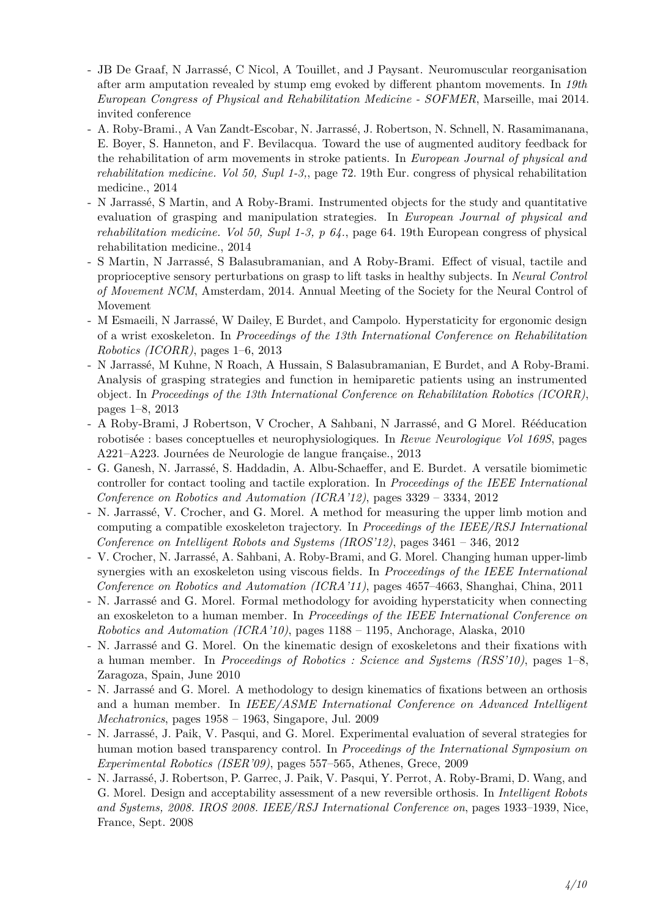- JB De Graaf, N Jarrassé, C Nicol, A Touillet, and J Paysant. Neuromuscular reorganisation after arm amputation revealed by stump emg evoked by different phantom movements. In *19th European Congress of Physical and Rehabilitation Medicine - SOFMER*, Marseille, mai 2014. invited conference
- A. Roby-Brami., A Van Zandt-Escobar, N. Jarrassé, J. Robertson, N. Schnell, N. Rasamimanana, E. Boyer, S. Hanneton, and F. Bevilacqua. Toward the use of augmented auditory feedback for the rehabilitation of arm movements in stroke patients. In *European Journal of physical and rehabilitation medicine. Vol 50, Supl 1-3,*, page 72. 19th Eur. congress of physical rehabilitation medicine., 2014
- N Jarrassé, S Martin, and A Roby-Brami. Instrumented objects for the study and quantitative evaluation of grasping and manipulation strategies. In *European Journal of physical and rehabilitation medicine. Vol 50, Supl 1-3, p 64.*, page 64. 19th European congress of physical rehabilitation medicine., 2014
- S Martin, N Jarrassé, S Balasubramanian, and A Roby-Brami. Effect of visual, tactile and proprioceptive sensory perturbations on grasp to lift tasks in healthy subjects. In *Neural Control of Movement NCM*, Amsterdam, 2014. Annual Meeting of the Society for the Neural Control of Movement
- M Esmaeili, N Jarrassé, W Dailey, E Burdet, and Campolo. Hyperstaticity for ergonomic design of a wrist exoskeleton. In *Proceedings of the 13th International Conference on Rehabilitation Robotics (ICORR)*, pages 1–6, 2013
- N Jarrassé, M Kuhne, N Roach, A Hussain, S Balasubramanian, E Burdet, and A Roby-Brami. Analysis of grasping strategies and function in hemiparetic patients using an instrumented object. In *Proceedings of the 13th International Conference on Rehabilitation Robotics (ICORR)*, pages 1–8, 2013
- A Roby-Brami, J Robertson, V Crocher, A Sahbani, N Jarrassé, and G Morel. Rééducation robotisée : bases conceptuelles et neurophysiologiques. In *Revue Neurologique Vol 169S*, pages A221–A223. Journées de Neurologie de langue française., 2013
- G. Ganesh, N. Jarrassé, S. Haddadin, A. Albu-Schaeffer, and E. Burdet. A versatile biomimetic controller for contact tooling and tactile exploration. In *Proceedings of the IEEE International Conference on Robotics and Automation (ICRA'12)*, pages 3329 – 3334, 2012
- N. Jarrassé, V. Crocher, and G. Morel. A method for measuring the upper limb motion and computing a compatible exoskeleton trajectory. In *Proceedings of the IEEE/RSJ International Conference on Intelligent Robots and Systems (IROS'12)*, pages 3461 – 346, 2012
- V. Crocher, N. Jarrassé, A. Sahbani, A. Roby-Brami, and G. Morel. Changing human upper-limb synergies with an exoskeleton using viscous fields. In *Proceedings of the IEEE International Conference on Robotics and Automation (ICRA'11)*, pages 4657–4663, Shanghai, China, 2011
- N. Jarrassé and G. Morel. Formal methodology for avoiding hyperstaticity when connecting an exoskeleton to a human member. In *Proceedings of the IEEE International Conference on Robotics and Automation (ICRA'10)*, pages 1188 – 1195, Anchorage, Alaska, 2010
- N. Jarrassé and G. Morel. On the kinematic design of exoskeletons and their fixations with a human member. In *Proceedings of Robotics : Science and Systems (RSS'10)*, pages 1–8, Zaragoza, Spain, June 2010
- N. Jarrassé and G. Morel. A methodology to design kinematics of fixations between an orthosis and a human member. In *IEEE/ASME International Conference on Advanced Intelligent Mechatronics*, pages 1958 – 1963, Singapore, Jul. 2009
- N. Jarrassé, J. Paik, V. Pasqui, and G. Morel. Experimental evaluation of several strategies for human motion based transparency control. In *Proceedings of the International Symposium on Experimental Robotics (ISER'09)*, pages 557–565, Athenes, Grece, 2009
- N. Jarrassé, J. Robertson, P. Garrec, J. Paik, V. Pasqui, Y. Perrot, A. Roby-Brami, D. Wang, and G. Morel. Design and acceptability assessment of a new reversible orthosis. In *Intelligent Robots and Systems, 2008. IROS 2008. IEEE/RSJ International Conference on*, pages 1933–1939, Nice, France, Sept. 2008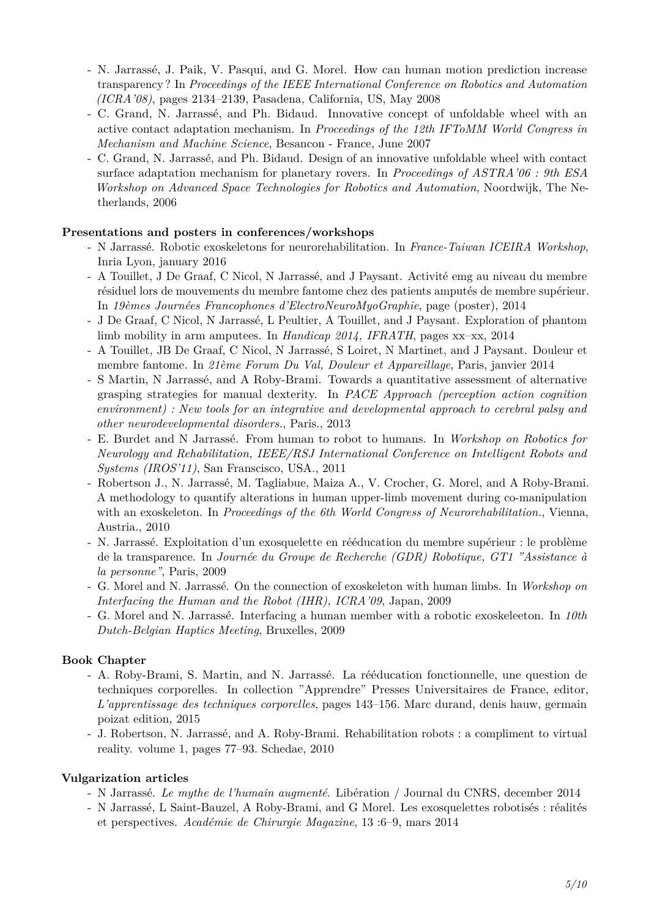- N. Jarrassé, J. Paik, V. Pasqui, and G. Morel. How can human motion prediction increase transparency ? In *Proceedings of the IEEE International Conference on Robotics and Automation (ICRA'08)*, pages 2134–2139, Pasadena, California, US, May 2008
- C. Grand, N. Jarrassé, and Ph. Bidaud. Innovative concept of unfoldable wheel with an active contact adaptation mechanism. In *Proceedings of the 12th IFToMM World Congress in Mechanism and Machine Science*, Besancon - France, June 2007
- C. Grand, N. Jarrassé, and Ph. Bidaud. Design of an innovative unfoldable wheel with contact surface adaptation mechanism for planetary rovers. In *Proceedings of ASTRA'06 : 9th ESA Workshop on Advanced Space Technologies for Robotics and Automation*, Noordwijk, The Netherlands, 2006

#### **Presentations and posters in conferences/workshops**

- N Jarrassé. Robotic exoskeletons for neurorehabilitation. In *France-Taiwan ICEIRA Workshop*, Inria Lyon, january 2016
- A Touillet, J De Graaf, C Nicol, N Jarrassé, and J Paysant. Activité emg au niveau du membre résiduel lors de mouvements du membre fantome chez des patients amputés de membre supérieur. In *19èmes Journées Francophones d'ElectroNeuroMyoGraphie*, page (poster), 2014
- J De Graaf, C Nicol, N Jarrassé, L Peultier, A Touillet, and J Paysant. Exploration of phantom limb mobility in arm amputees. In *Handicap 2014, IFRATH*, pages xx–xx, 2014
- A Touillet, JB De Graaf, C Nicol, N Jarrassé, S Loiret, N Martinet, and J Paysant. Douleur et membre fantome. In *21ème Forum Du Val, Douleur et Appareillage*, Paris, janvier 2014
- S Martin, N Jarrassé, and A Roby-Brami. Towards a quantitative assessment of alternative grasping strategies for manual dexterity. In *PACE Approach (perception action cognition environment) : New tools for an integrative and developmental approach to cerebral palsy and other neurodevelopmental disorders.*, Paris., 2013
- E. Burdet and N Jarrassé. From human to robot to humans. In *Workshop on Robotics for Neurology and Rehabilitation, IEEE/RSJ International Conference on Intelligent Robots and Systems (IROS'11)*, San Franscisco, USA., 2011
- Robertson J., N. Jarrassé, M. Tagliabue, Maiza A., V. Crocher, G. Morel, and A Roby-Brami. A methodology to quantify alterations in human upper-limb movement during co-manipulation with an exoskeleton. In *Proceedings of the 6th World Congress of Neurorehabilitation.*, Vienna, Austria., 2010
- N. Jarrassé. Exploitation d'un exosquelette en rééducation du membre supérieur : le problème de la transparence. In *Journée du Groupe de Recherche (GDR) Robotique, GT1 "Assistance à la personne"*, Paris, 2009
- G. Morel and N. Jarrassé. On the connection of exoskeleton with human limbs. In *Workshop on Interfacing the Human and the Robot (IHR), ICRA'09*, Japan, 2009
- G. Morel and N. Jarrassé. Interfacing a human member with a robotic exoskeleeton. In *10th Dutch-Belgian Haptics Meeting*, Bruxelles, 2009

#### **Book Chapter**

- A. Roby-Brami, S. Martin, and N. Jarrassé. La rééducation fonctionnelle, une question de techniques corporelles. In collection "Apprendre" Presses Universitaires de France, editor, *L'apprentissage des techniques corporelles*, pages 143–156. Marc durand, denis hauw, germain poizat edition, 2015
- J. Robertson, N. Jarrassé, and A. Roby-Brami. Rehabilitation robots : a compliment to virtual reality. volume 1, pages 77–93. Schedae, 2010

#### **Vulgarization articles**

- N Jarrassé. *Le mythe de l'humain augmenté*. Libération / Journal du CNRS, december 2014
- N Jarrassé, L Saint-Bauzel, A Roby-Brami, and G Morel. Les exosquelettes robotisés : réalités et perspectives. *Académie de Chirurgie Magazine*, 13 :6–9, mars 2014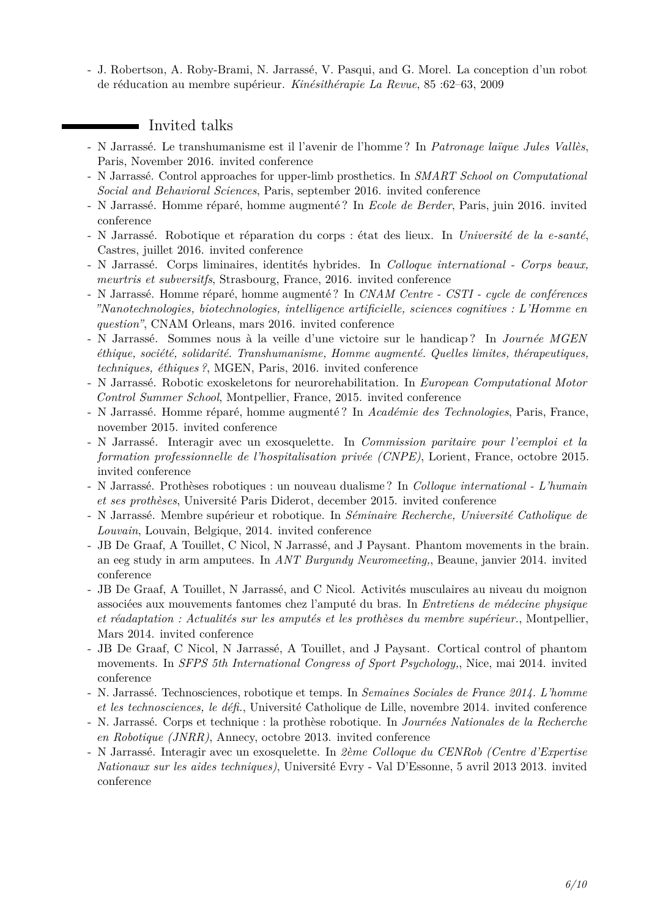- J. Robertson, A. Roby-Brami, N. Jarrassé, V. Pasqui, and G. Morel. La conception d'un robot de réducation au membre supérieur. *Kinésithérapie La Revue*, 85 :62–63, 2009

### **I** Invited talks

- N Jarrassé. Le transhumanisme est il l'avenir de l'homme ? In *Patronage laïque Jules Vallès*, Paris, November 2016. invited conference
- N Jarrassé. Control approaches for upper-limb prosthetics. In *SMART School on Computational Social and Behavioral Sciences*, Paris, september 2016. invited conference
- N Jarrassé. Homme réparé, homme augmenté ? In *Ecole de Berder*, Paris, juin 2016. invited conference
- N Jarrassé. Robotique et réparation du corps : état des lieux. In *Université de la e-santé*, Castres, juillet 2016. invited conference
- N Jarrassé. Corps liminaires, identités hybrides. In *Colloque international Corps beaux, meurtris et subversitfs*, Strasbourg, France, 2016. invited conference
- N Jarrassé. Homme réparé, homme augmenté ? In *CNAM Centre CSTI cycle de conférences "Nanotechnologies, biotechnologies, intelligence artificielle, sciences cognitives : L'Homme en question"*, CNAM Orleans, mars 2016. invited conference
- N Jarrassé. Sommes nous à la veille d'une victoire sur le handicap ? In *Journée MGEN éthique, société, solidarité. Transhumanisme, Homme augmenté. Quelles limites, thérapeutiques, techniques, éthiques ?*, MGEN, Paris, 2016. invited conference
- N Jarrassé. Robotic exoskeletons for neurorehabilitation. In *European Computational Motor Control Summer School*, Montpellier, France, 2015. invited conference
- N Jarrassé. Homme réparé, homme augmenté ? In *Académie des Technologies*, Paris, France, november 2015. invited conference
- N Jarrassé. Interagir avec un exosquelette. In *Commission paritaire pour l'eemploi et la formation professionnelle de l'hospitalisation privée (CNPE)*, Lorient, France, octobre 2015. invited conference
- N Jarrassé. Prothèses robotiques : un nouveau dualisme ? In *Colloque international L'humain et ses prothèses*, Université Paris Diderot, december 2015. invited conference
- N Jarrassé. Membre supérieur et robotique. In *Séminaire Recherche, Université Catholique de Louvain*, Louvain, Belgique, 2014. invited conference
- JB De Graaf, A Touillet, C Nicol, N Jarrassé, and J Paysant. Phantom movements in the brain. an eeg study in arm amputees. In *ANT Burgundy Neuromeeting,*, Beaune, janvier 2014. invited conference
- JB De Graaf, A Touillet, N Jarrassé, and C Nicol. Activités musculaires au niveau du moignon associées aux mouvements fantomes chez l'amputé du bras. In *Entretiens de médecine physique et réadaptation : Actualités sur les amputés et les prothèses du membre supérieur.*, Montpellier, Mars 2014. invited conference
- JB De Graaf, C Nicol, N Jarrassé, A Touillet, and J Paysant. Cortical control of phantom movements. In *SFPS 5th International Congress of Sport Psychology,*, Nice, mai 2014. invited conference
- N. Jarrassé. Technosciences, robotique et temps. In *Semaines Sociales de France 2014. L'homme et les technosciences, le défi.*, Université Catholique de Lille, novembre 2014. invited conference
- N. Jarrassé. Corps et technique : la prothèse robotique. In *Journées Nationales de la Recherche en Robotique (JNRR)*, Annecy, octobre 2013. invited conference
- N Jarrassé. Interagir avec un exosquelette. In *2ème Colloque du CENRob (Centre d'Expertise Nationaux sur les aides techniques)*, Université Evry - Val D'Essonne, 5 avril 2013 2013. invited conference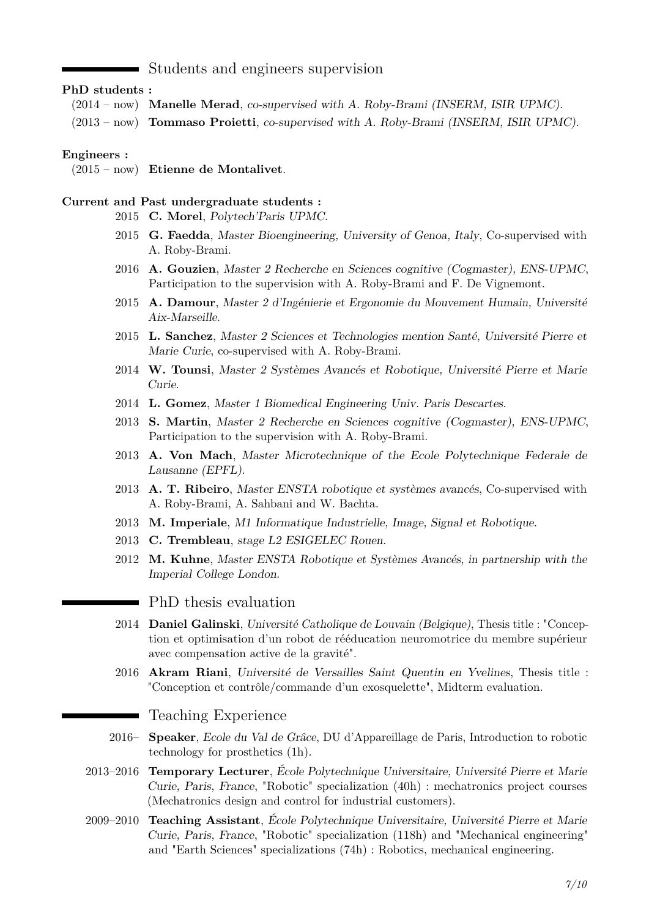#### Students and engineers supervision

#### **PhD students :**

(2014 – now) **Manelle Merad**, co-supervised with A. Roby-Brami (INSERM, ISIR UPMC). (2013 – now) **Tommaso Proietti**, co-supervised with A. Roby-Brami (INSERM, ISIR UPMC).

#### **Engineers :**

(2015 – now) **Etienne de Montalivet**.

#### **Current and Past undergraduate students :**

- 2015 **C. Morel**, Polytech'Paris UPMC.
- 2015 **G. Faedda**, Master Bioengineering, University of Genoa, Italy, Co-supervised with A. Roby-Brami.
- 2016 **A. Gouzien**, Master 2 Recherche en Sciences cognitive (Cogmaster), ENS-UPMC, Participation to the supervision with A. Roby-Brami and F. De Vignemont.
- 2015 **A. Damour**, Master 2 d'Ingénierie et Ergonomie du Mouvement Humain, Université Aix-Marseille.
- 2015 **L. Sanchez**, Master 2 Sciences et Technologies mention Santé, Université Pierre et Marie Curie, co-supervised with A. Roby-Brami.
- 2014 **W. Tounsi**, Master 2 Systèmes Avancés et Robotique, Université Pierre et Marie Curie.
- 2014 **L. Gomez**, Master 1 Biomedical Engineering Univ. Paris Descartes.
- 2013 **S. Martin**, Master 2 Recherche en Sciences cognitive (Cogmaster), ENS-UPMC, Participation to the supervision with A. Roby-Brami.
- 2013 **A. Von Mach**, Master Microtechnique of the Ecole Polytechnique Federale de Lausanne (EPFL).
- 2013 **A. T. Ribeiro**, Master ENSTA robotique et systèmes avancés, Co-supervised with A. Roby-Brami, A. Sahbani and W. Bachta.
- 2013 **M. Imperiale**, M1 Informatique Industrielle, Image, Signal et Robotique.
- 2013 **C. Trembleau**, stage L2 ESIGELEC Rouen.
- 2012 **M. Kuhne**, Master ENSTA Robotique et Systèmes Avancés, in partnership with the Imperial College London.
	- PhD thesis evaluation
- 2014 **Daniel Galinski**, Université Catholique de Louvain (Belgique), Thesis title : "Conception et optimisation d'un robot de rééducation neuromotrice du membre supérieur avec compensation active de la gravité".
- 2016 **Akram Riani**, Université de Versailles Saint Quentin en Yvelines, Thesis title : "Conception et contrôle/commande d'un exosquelette", Midterm evaluation.

#### Teaching Experience

Ξ

- 2016– **Speaker**, Ecole du Val de Grâce, DU d'Appareillage de Paris, Introduction to robotic technology for prosthetics (1h).
- 2013–2016 **Temporary Lecturer**, École Polytechnique Universitaire, Université Pierre et Marie Curie, Paris, France, "Robotic" specialization (40h) : mechatronics project courses (Mechatronics design and control for industrial customers).
- 2009–2010 **Teaching Assistant**, École Polytechnique Universitaire, Université Pierre et Marie Curie, Paris, France, "Robotic" specialization (118h) and "Mechanical engineering" and "Earth Sciences" specializations (74h) : Robotics, mechanical engineering.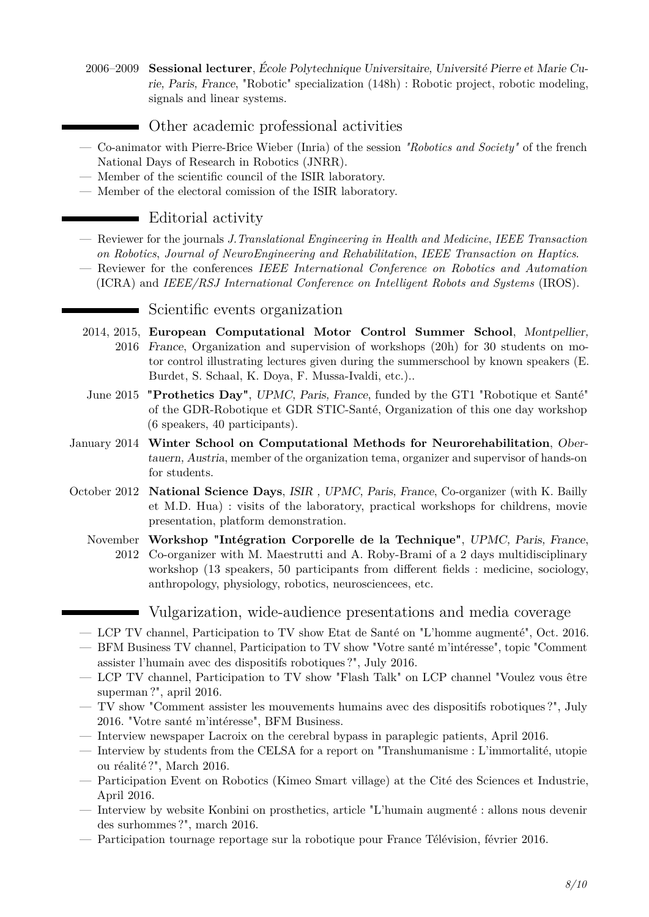- 2006–2009 **Sessional lecturer**, École Polytechnique Universitaire, Université Pierre et Marie Curie, Paris, France, "Robotic" specialization (148h) : Robotic project, robotic modeling, signals and linear systems.
	- Other academic professional activities
- Co-animator with Pierre-Brice Wieber (Inria) of the session *"Robotics and Society"* of the french National Days of Research in Robotics (JNRR).
- Member of the scientific council of the ISIR laboratory.
- Member of the electoral comission of the ISIR laboratory.

## Editorial activity

- Reviewer for the journals *J.Translational Engineering in Health and Medicine*, *IEEE Transaction on Robotics*, *Journal of NeuroEngineering and Rehabilitation*, *IEEE Transaction on Haptics*.
- Reviewer for the conferences *IEEE International Conference on Robotics and Automation* (ICRA) and *IEEE/RSJ International Conference on Intelligent Robots and Systems* (IROS).

#### Scientific events organization

- 2014, 2015, **European Computational Motor Control Summer School**, Montpellier, 2016 France, Organization and supervision of workshops (20h) for 30 students on motor control illustrating lectures given during the summerschool by known speakers (E. Burdet, S. Schaal, K. Doya, F. Mussa-Ivaldi, etc.)..
- June 2015 **"Prothetics Day"**, UPMC, Paris, France, funded by the GT1 "Robotique et Santé" of the GDR-Robotique et GDR STIC-Santé, Organization of this one day workshop (6 speakers, 40 participants).
- January 2014 **Winter School on Computational Methods for Neurorehabilitation**, Obertauern, Austria, member of the organization tema, organizer and supervisor of hands-on for students.
- October 2012 **National Science Days**, ISIR , UPMC, Paris, France, Co-organizer (with K. Bailly et M.D. Hua) : visits of the laboratory, practical workshops for childrens, movie presentation, platform demonstration.
	- November **Workshop "Intégration Corporelle de la Technique"**, UPMC, Paris, France, 2012 Co-organizer with M. Maestrutti and A. Roby-Brami of a 2 days multidisciplinary workshop (13 speakers, 50 participants from different fields : medicine, sociology, anthropology, physiology, robotics, neurosciencees, etc.
		- Vulgarization, wide-audience presentations and media coverage
	- LCP TV channel, Participation to TV show Etat de Santé on "L'homme augmenté", Oct. 2016.
	- BFM Business TV channel, Participation to TV show "Votre santé m'intéresse", topic "Comment assister l'humain avec des dispositifs robotiques ?", July 2016.
	- LCP TV channel, Participation to TV show "Flash Talk" on LCP channel "Voulez vous être superman ?", april 2016.
	- TV show "Comment assister les mouvements humains avec des dispositifs robotiques ?", July 2016. "Votre santé m'intéresse", BFM Business.
	- Interview newspaper Lacroix on the cerebral bypass in paraplegic patients, April 2016.
	- Interview by students from the CELSA for a report on "Transhumanisme : L'immortalité, utopie ou réalité ?", March 2016.
	- Participation Event on Robotics (Kimeo Smart village) at the Cité des Sciences et Industrie, April 2016.
	- Interview by website Konbini on prosthetics, article "L'humain augmenté : allons nous devenir des surhommes ?", march 2016.
	- Participation tournage reportage sur la robotique pour France Télévision, février 2016.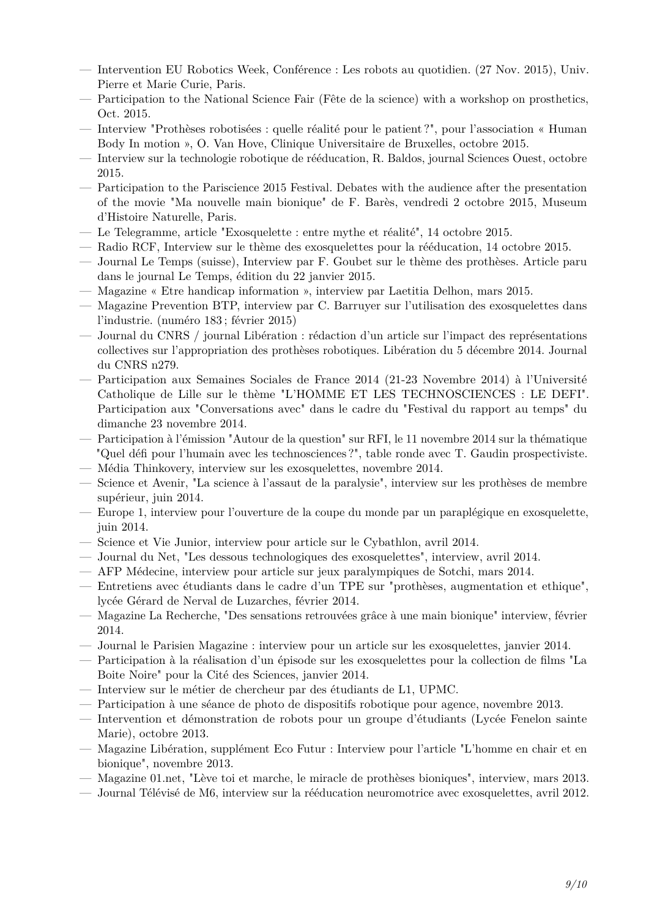- Intervention EU Robotics Week, Conférence : Les robots au quotidien. (27 Nov. 2015), Univ. Pierre et Marie Curie, Paris.
- Participation to the National Science Fair (Fête de la science) with a workshop on prosthetics, Oct. 2015.
- Interview "Prothèses robotisées : quelle réalité pour le patient ?", pour l'association « Human Body In motion », O. Van Hove, Clinique Universitaire de Bruxelles, octobre 2015.
- Interview sur la technologie robotique de rééducation, R. Baldos, journal Sciences Ouest, octobre 2015.
- Participation to the Pariscience 2015 Festival. Debates with the audience after the presentation of the movie "Ma nouvelle main bionique" de F. Barès, vendredi 2 octobre 2015, Museum d'Histoire Naturelle, Paris.
- Le Telegramme, article "Exosquelette : entre mythe et réalité", 14 octobre 2015.
- Radio RCF, Interview sur le thème des exosquelettes pour la rééducation, 14 octobre 2015.
- Journal Le Temps (suisse), Interview par F. Goubet sur le thème des prothèses. Article paru dans le journal Le Temps, édition du 22 janvier 2015.
- Magazine « Etre handicap information », interview par Laetitia Delhon, mars 2015.
- Magazine Prevention BTP, interview par C. Barruyer sur l'utilisation des exosquelettes dans l'industrie. (numéro 183 ; février 2015)
- Journal du CNRS / journal Libération : rédaction d'un article sur l'impact des représentations collectives sur l'appropriation des prothèses robotiques. Libération du 5 décembre 2014. Journal du CNRS n279.
- Participation aux Semaines Sociales de France 2014 (21-23 Novembre 2014) à l'Université Catholique de Lille sur le thème "L'HOMME ET LES TECHNOSCIENCES : LE DEFI". Participation aux "Conversations avec" dans le cadre du "Festival du rapport au temps" du dimanche 23 novembre 2014.
- Participation à l'émission "Autour de la question" sur RFI, le 11 novembre 2014 sur la thématique "Quel défi pour l'humain avec les technosciences ?", table ronde avec T. Gaudin prospectiviste.
- Média Thinkovery, interview sur les exosquelettes, novembre 2014.
- Science et Avenir, "La science à l'assaut de la paralysie", interview sur les prothèses de membre supérieur, juin 2014.
- Europe 1, interview pour l'ouverture de la coupe du monde par un paraplégique en exosquelette, juin 2014.
- Science et Vie Junior, interview pour article sur le Cybathlon, avril 2014.
- Journal du Net, "Les dessous technologiques des exosquelettes", interview, avril 2014.
- AFP Médecine, interview pour article sur jeux paralympiques de Sotchi, mars 2014.
- Entretiens avec étudiants dans le cadre d'un TPE sur "prothèses, augmentation et ethique", lycée Gérard de Nerval de Luzarches, février 2014.
- Magazine La Recherche, "Des sensations retrouvées grâce à une main bionique" interview, février 2014.
- Journal le Parisien Magazine : interview pour un article sur les exosquelettes, janvier 2014.
- Participation à la réalisation d'un épisode sur les exosquelettes pour la collection de films "La Boite Noire" pour la Cité des Sciences, janvier 2014.
- Interview sur le métier de chercheur par des étudiants de L1, UPMC.
- Participation à une séance de photo de dispositifs robotique pour agence, novembre 2013.
- Intervention et démonstration de robots pour un groupe d'étudiants (Lycée Fenelon sainte Marie), octobre 2013.
- Magazine Libération, supplément Eco Futur : Interview pour l'article "L'homme en chair et en bionique", novembre 2013.
- Magazine 01.net, "Lève toi et marche, le miracle de prothèses bioniques", interview, mars 2013.
- <span id="page-8-0"></span>— Journal Télévisé de M6, interview sur la rééducation neuromotrice avec exosquelettes, avril 2012.